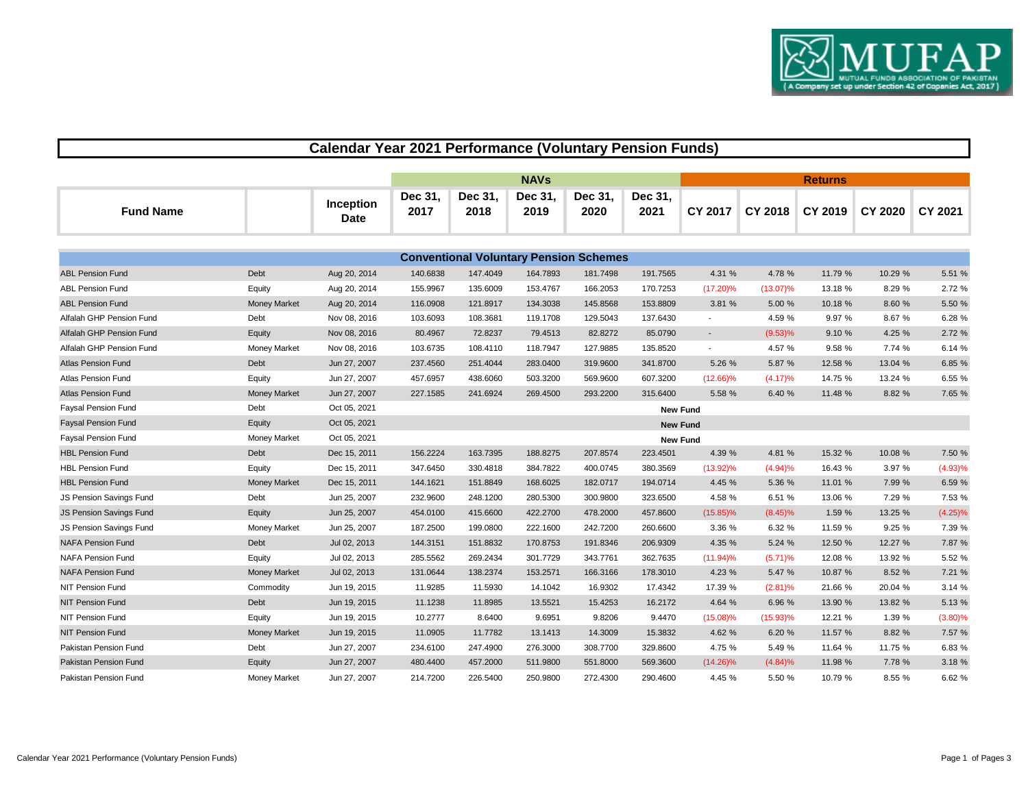

## **Calendar Year 2021 Performance (Voluntary Pension Funds)**

|                  |                   | <b>NAVs</b>     |                 |                 |                 |                        | <b>Returns</b> |  |                 |                 |  |  |
|------------------|-------------------|-----------------|-----------------|-----------------|-----------------|------------------------|----------------|--|-----------------|-----------------|--|--|
| <b>Fund Name</b> | Inception<br>Date | Dec 31.<br>2017 | Dec 31,<br>2018 | Dec 31,<br>2019 | Dec 31,<br>2020 | <b>Dec 31.</b><br>2021 | CY 2017        |  | CY 2018 CY 2019 | CY 2020 CY 2021 |  |  |

| <b>Conventional Voluntary Pension Schemes</b> |                     |              |          |          |          |          |                 |                          |             |         |         |            |
|-----------------------------------------------|---------------------|--------------|----------|----------|----------|----------|-----------------|--------------------------|-------------|---------|---------|------------|
| <b>ABL Pension Fund</b>                       | Debt                | Aug 20, 2014 | 140.6838 | 147.4049 | 164.7893 | 181.7498 | 191.7565        | 4.31 %                   | 4.78 %      | 11.79 % | 10.29 % | 5.51 %     |
| <b>ABL Pension Fund</b>                       | Equity              | Aug 20, 2014 | 155.9967 | 135.6009 | 153.4767 | 166.2053 | 170.7253        | $(17.20)\%$              | $(13.07)\%$ | 13.18 % | 8.29 %  | 2.72 %     |
| <b>ABL Pension Fund</b>                       | <b>Money Market</b> | Aug 20, 2014 | 116.0908 | 121.8917 | 134.3038 | 145.8568 | 153.8809        | 3.81 %                   | 5.00 %      | 10.18 % | 8.60 %  | 5.50 %     |
| Alfalah GHP Pension Fund                      | Debt                | Nov 08, 2016 | 103.6093 | 108.3681 | 119.1708 | 129.5043 | 137.6430        | $\sim$                   | 4.59 %      | 9.97 %  | 8.67 %  | 6.28 %     |
| Alfalah GHP Pension Fund                      | Equity              | Nov 08, 2016 | 80.4967  | 72.8237  | 79.4513  | 82.8272  | 85.0790         | $\overline{\phantom{a}}$ | (9.53)%     | 9.10 %  | 4.25 %  | 2.72 %     |
| Alfalah GHP Pension Fund                      | <b>Money Market</b> | Nov 08, 2016 | 103.6735 | 108.4110 | 118.7947 | 127.9885 | 135.8520        |                          | 4.57 %      | 9.58 %  | 7.74 %  | 6.14 %     |
| <b>Atlas Pension Fund</b>                     | Debt                | Jun 27, 2007 | 237.4560 | 251.4044 | 283.0400 | 319.9600 | 341.8700        | 5.26 %                   | 5.87 %      | 12.58 % | 13.04 % | 6.85 %     |
| <b>Atlas Pension Fund</b>                     | Equity              | Jun 27, 2007 | 457.6957 | 438.6060 | 503.3200 | 569.9600 | 607.3200        | $(12.66)\%$              | (4.17)%     | 14.75 % | 13.24 % | 6.55 %     |
| <b>Atlas Pension Fund</b>                     | <b>Money Market</b> | Jun 27, 2007 | 227.1585 | 241.6924 | 269.4500 | 293.2200 | 315.6400        | 5.58 %                   | 6.40 %      | 11.48 % | 8.82 %  | 7.65 %     |
| <b>Faysal Pension Fund</b>                    | Debt                | Oct 05, 2021 |          |          |          |          | <b>New Fund</b> |                          |             |         |         |            |
| <b>Faysal Pension Fund</b>                    | Equity              | Oct 05, 2021 |          |          |          |          | <b>New Fund</b> |                          |             |         |         |            |
| <b>Faysal Pension Fund</b>                    | <b>Money Market</b> | Oct 05, 2021 |          |          |          |          | <b>New Fund</b> |                          |             |         |         |            |
| <b>HBL Pension Fund</b>                       | Debt                | Dec 15, 2011 | 156.2224 | 163.7395 | 188.8275 | 207.8574 | 223.4501        | 4.39 %                   | 4.81 %      | 15.32 % | 10.08 % | 7.50 %     |
| <b>HBL Pension Fund</b>                       | Equity              | Dec 15, 2011 | 347.6450 | 330.4818 | 384.7822 | 400.0745 | 380.3569        | $(13.92)\%$              | (4.94)%     | 16.43 % | 3.97 %  | (4.93)%    |
| <b>HBL Pension Fund</b>                       | <b>Money Market</b> | Dec 15, 2011 | 144.1621 | 151.8849 | 168.6025 | 182.0717 | 194.0714        | 4.45 %                   | 5.36 %      | 11.01 % | 7.99 %  | 6.59 %     |
| JS Pension Savings Fund                       | Debt                | Jun 25, 2007 | 232.9600 | 248.1200 | 280.5300 | 300.9800 | 323.6500        | 4.58 %                   | 6.51 %      | 13.06 % | 7.29 %  | 7.53 %     |
| <b>JS Pension Savings Fund</b>                | Equity              | Jun 25, 2007 | 454.0100 | 415.6600 | 422.2700 | 478.2000 | 457.8600        | $(15.85)\%$              | $(8.45)\%$  | 1.59 %  | 13.25 % | (4.25)%    |
| JS Pension Savings Fund                       | <b>Money Market</b> | Jun 25, 2007 | 187.2500 | 199.0800 | 222.1600 | 242.7200 | 260.6600        | 3.36 %                   | 6.32 %      | 11.59 % | 9.25 %  | 7.39 %     |
| <b>NAFA Pension Fund</b>                      | Debt                | Jul 02, 2013 | 144.3151 | 151.8832 | 170.8753 | 191.8346 | 206.9309        | 4.35 %                   | 5.24 %      | 12.50 % | 12.27 % | 7.87 %     |
| <b>NAFA Pension Fund</b>                      | Equity              | Jul 02, 2013 | 285.5562 | 269.2434 | 301.7729 | 343.7761 | 362.7635        | $(11.94)\%$              | (5.71)%     | 12.08 % | 13.92 % | 5.52 %     |
| <b>NAFA Pension Fund</b>                      | <b>Money Market</b> | Jul 02, 2013 | 131.0644 | 138.2374 | 153.2571 | 166.3166 | 178.3010        | 4.23 %                   | 5.47 %      | 10.87 % | 8.52 %  | 7.21 %     |
| NIT Pension Fund                              | Commodity           | Jun 19, 2015 | 11.9285  | 11.5930  | 14.1042  | 16.9302  | 17.4342         | 17.39 %                  | $(2.81)\%$  | 21.66 % | 20.04 % | 3.14 %     |
| <b>NIT Pension Fund</b>                       | Debt                | Jun 19, 2015 | 11.1238  | 11.8985  | 13.5521  | 15.4253  | 16.2172         | 4.64 %                   | 6.96 %      | 13.90 % | 13.82 % | 5.13 %     |
| NIT Pension Fund                              | Equity              | Jun 19, 2015 | 10.2777  | 8.6400   | 9.6951   | 9.8206   | 9.4470          | $(15.08)\%$              | $(15.93)\%$ | 12.21 % | 1.39 %  | $(3.80)\%$ |
| <b>NIT Pension Fund</b>                       | <b>Money Market</b> | Jun 19, 2015 | 11.0905  | 11.7782  | 13.1413  | 14.3009  | 15.3832         | 4.62 %                   | 6.20 %      | 11.57 % | 8.82 %  | 7.57 %     |
| Pakistan Pension Fund                         | Debt                | Jun 27, 2007 | 234.6100 | 247.4900 | 276.3000 | 308.7700 | 329.8600        | 4.75 %                   | 5.49 %      | 11.64 % | 11.75 % | 6.83 %     |
| Pakistan Pension Fund                         | Equity              | Jun 27, 2007 | 480.4400 | 457.2000 | 511.9800 | 551.8000 | 569.3600        | $(14.26)\%$              | (4.84)%     | 11.98 % | 7.78 %  | 3.18 %     |
| Pakistan Pension Fund                         | <b>Money Market</b> | Jun 27, 2007 | 214.7200 | 226.5400 | 250.9800 | 272.4300 | 290.4600        | 4.45 %                   | 5.50 %      | 10.79 % | 8.55 %  | 6.62%      |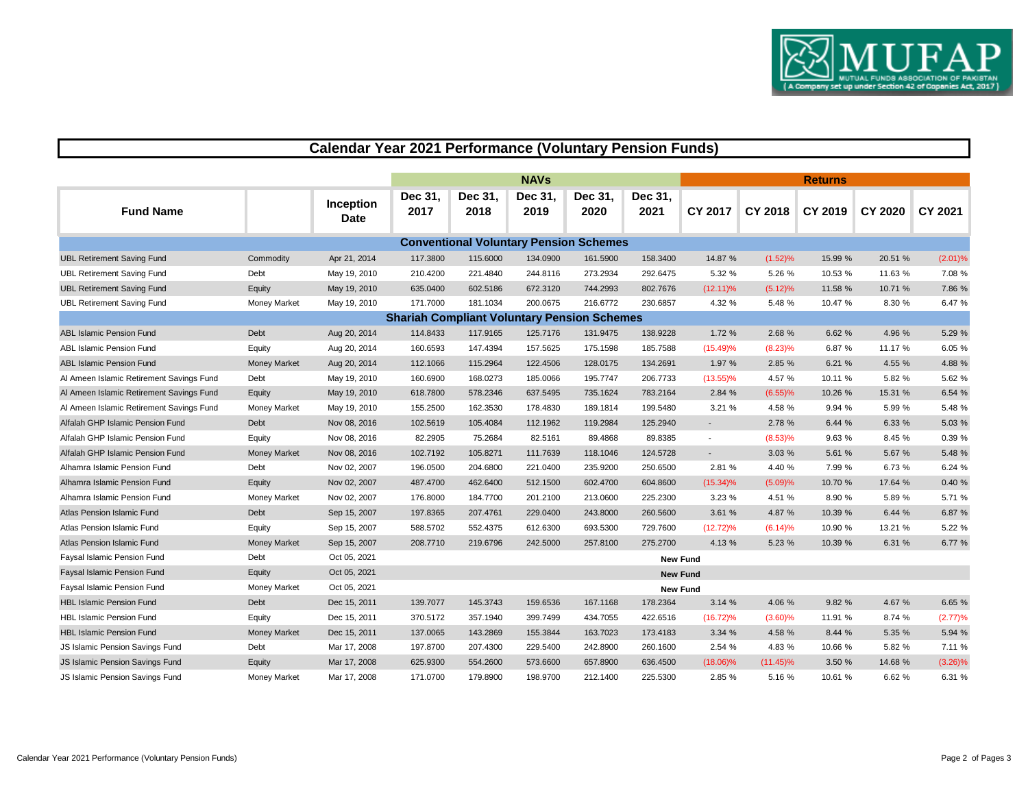

## **Calendar Year 2021 Performance (Voluntary Pension Funds)**

|                                          |                     |                          |                                                    |                 | <b>NAVs</b>                                   |                 |                 |                 |             |         |                |            |
|------------------------------------------|---------------------|--------------------------|----------------------------------------------------|-----------------|-----------------------------------------------|-----------------|-----------------|-----------------|-------------|---------|----------------|------------|
| <b>Fund Name</b>                         |                     | Inception<br><b>Date</b> | Dec 31,<br>2017                                    | Dec 31,<br>2018 | Dec 31,<br>2019                               | Dec 31,<br>2020 | Dec 31,<br>2021 | <b>CY 2017</b>  | CY 2018     | CY 2019 | <b>CY 2020</b> | CY 2021    |
|                                          |                     |                          |                                                    |                 | <b>Conventional Voluntary Pension Schemes</b> |                 |                 |                 |             |         |                |            |
| <b>UBL Retirement Saving Fund</b>        | Commodity           | Apr 21, 2014             | 117.3800                                           | 115.6000        | 134.0900                                      | 161.5900        | 158.3400        | 14.87 %         | (1.52)%     | 15.99 % | 20.51 %        | (2.01)%    |
| <b>UBL Retirement Saving Fund</b>        | Debt                | May 19, 2010             | 210.4200                                           | 221.4840        | 244.8116                                      | 273.2934        | 292.6475        | 5.32 %          | 5.26 %      | 10.53 % | 11.63 %        | 7.08 %     |
| <b>UBL Retirement Saving Fund</b>        | Equity              | May 19, 2010             | 635.0400                                           | 602.5186        | 672.3120                                      | 744.2993        | 802.7676        | $(12.11)\%$     | $(5.12)\%$  | 11.58 % | 10.71 %        | 7.86 %     |
| <b>UBL Retirement Saving Fund</b>        | <b>Money Market</b> | May 19, 2010             | 171.7000                                           | 181.1034        | 200.0675                                      | 216.6772        | 230.6857        | 4.32 %          | 5.48 %      | 10.47 % | 8.30 %         | 6.47 %     |
|                                          |                     |                          | <b>Shariah Compliant Voluntary Pension Schemes</b> |                 |                                               |                 |                 |                 |             |         |                |            |
| <b>ABL Islamic Pension Fund</b>          | Debt                | Aug 20, 2014             | 114.8433                                           | 117.9165        | 125.7176                                      | 131.9475        | 138.9228        | 1.72 %          | 2.68 %      | 6.62 %  | 4.96 %         | 5.29 %     |
| ABL Islamic Pension Fund                 | Equity              | Aug 20, 2014             | 160.6593                                           | 147.4394        | 157.5625                                      | 175.1598        | 185.7588        | $(15.49)\%$     | $(8.23)\%$  | 6.87 %  | 11.17 %        | 6.05 %     |
| <b>ABL Islamic Pension Fund</b>          | <b>Money Market</b> | Aug 20, 2014             | 112.1066                                           | 115.2964        | 122.4506                                      | 128.0175        | 134.2691        | 1.97 %          | 2.85 %      | 6.21 %  | 4.55 %         | 4.88 %     |
| Al Ameen Islamic Retirement Savings Fund | Debt                | May 19, 2010             | 160.6900                                           | 168.0273        | 185.0066                                      | 195.7747        | 206.7733        | $(13.55)\%$     | 4.57 %      | 10.11 % | 5.82 %         | 5.62 %     |
| Al Ameen Islamic Retirement Savings Fund | Equity              | May 19, 2010             | 618.7800                                           | 578.2346        | 637.5495                                      | 735.1624        | 783.2164        | 2.84 %          | $(6.55)$ %  | 10.26 % | 15.31 %        | 6.54 %     |
| Al Ameen Islamic Retirement Savings Fund | <b>Money Market</b> | May 19, 2010             | 155.2500                                           | 162.3530        | 178.4830                                      | 189.1814        | 199.5480        | 3.21%           | 4.58 %      | 9.94 %  | 5.99 %         | 5.48 %     |
| Alfalah GHP Islamic Pension Fund         | Debt                | Nov 08, 2016             | 102.5619                                           | 105.4084        | 112.1962                                      | 119.2984        | 125.2940        | $\sim$          | 2.78 %      | 6.44 %  | 6.33 %         | 5.03 %     |
| Alfalah GHP Islamic Pension Fund         | Equity              | Nov 08, 2016             | 82.2905                                            | 75.2684         | 82.5161                                       | 89.4868         | 89.8385         |                 | (8.53)%     | 9.63 %  | 8.45 %         | 0.39%      |
| Alfalah GHP Islamic Pension Fund         | <b>Money Market</b> | Nov 08, 2016             | 102.7192                                           | 105.8271        | 111.7639                                      | 118.1046        | 124.5728        |                 | 3.03 %      | 5.61 %  | 5.67 %         | 5.48 %     |
| Alhamra Islamic Pension Fund             | Debt                | Nov 02, 2007             | 196.0500                                           | 204.6800        | 221.0400                                      | 235.9200        | 250.6500        | 2.81 %          | 4.40 %      | 7.99 %  | 6.73 %         | 6.24 %     |
| Alhamra Islamic Pension Fund             | Equity              | Nov 02, 2007             | 487.4700                                           | 462.6400        | 512.1500                                      | 602.4700        | 604.8600        | $(15.34)\%$     | (5.09)%     | 10.70 % | 17.64 %        | 0.40%      |
| Alhamra Islamic Pension Fund             | Money Market        | Nov 02, 2007             | 176.8000                                           | 184.7700        | 201.2100                                      | 213.0600        | 225.2300        | 3.23 %          | 4.51 %      | 8.90 %  | 5.89 %         | 5.71 %     |
| Atlas Pension Islamic Fund               | Debt                | Sep 15, 2007             | 197.8365                                           | 207.4761        | 229.0400                                      | 243.8000        | 260.5600        | 3.61%           | 4.87 %      | 10.39 % | 6.44 %         | 6.87 %     |
| Atlas Pension Islamic Fund               | Equity              | Sep 15, 2007             | 588.5702                                           | 552.4375        | 612.6300                                      | 693.5300        | 729.7600        | $(12.72)\%$     | (6.14)%     | 10.90 % | 13.21 %        | 5.22 %     |
| Atlas Pension Islamic Fund               | <b>Money Market</b> | Sep 15, 2007             | 208.7710                                           | 219.6796        | 242.5000                                      | 257.8100        | 275.2700        | 4.13 %          | 5.23 %      | 10.39 % | 6.31 %         | 6.77 %     |
| Faysal Islamic Pension Fund              | Debt                | Oct 05, 2021             |                                                    |                 |                                               |                 |                 | <b>New Fund</b> |             |         |                |            |
| Faysal Islamic Pension Fund              | Equity              | Oct 05, 2021             |                                                    |                 |                                               |                 |                 | <b>New Fund</b> |             |         |                |            |
| Faysal Islamic Pension Fund              | Money Market        | Oct 05, 2021             |                                                    |                 |                                               |                 |                 | <b>New Fund</b> |             |         |                |            |
| <b>HBL Islamic Pension Fund</b>          | Debt                | Dec 15, 2011             | 139.7077                                           | 145.3743        | 159.6536                                      | 167.1168        | 178.2364        | 3.14%           | 4.06 %      | 9.82 %  | 4.67 %         | 6.65 %     |
| <b>HBL Islamic Pension Fund</b>          | Equity              | Dec 15, 2011             | 370.5172                                           | 357.1940        | 399.7499                                      | 434.7055        | 422.6516        | $(16.72)\%$     | $(3.60)\%$  | 11.91 % | 8.74 %         | (2.77)%    |
| <b>HBL Islamic Pension Fund</b>          | <b>Money Market</b> | Dec 15, 2011             | 137.0065                                           | 143.2869        | 155.3844                                      | 163.7023        | 173.4183        | 3.34 %          | 4.58 %      | 8.44 %  | 5.35 %         | 5.94 %     |
| JS Islamic Pension Savings Fund          | Debt                | Mar 17, 2008             | 197.8700                                           | 207.4300        | 229.5400                                      | 242.8900        | 260.1600        | 2.54 %          | 4.83 %      | 10.66 % | 5.82 %         | 7.11 %     |
| JS Islamic Pension Savings Fund          | Equity              | Mar 17, 2008             | 625.9300                                           | 554.2600        | 573.6600                                      | 657.8900        | 636.4500        | $(18.06)\%$     | $(11.45)\%$ | 3.50 %  | 14.68 %        | $(3.26)\%$ |
| JS Islamic Pension Savings Fund          | Money Market        | Mar 17, 2008             | 171.0700                                           | 179.8900        | 198.9700                                      | 212.1400        | 225.5300        | 2.85 %          | 5.16 %      | 10.61 % | 6.62 %         | 6.31 %     |